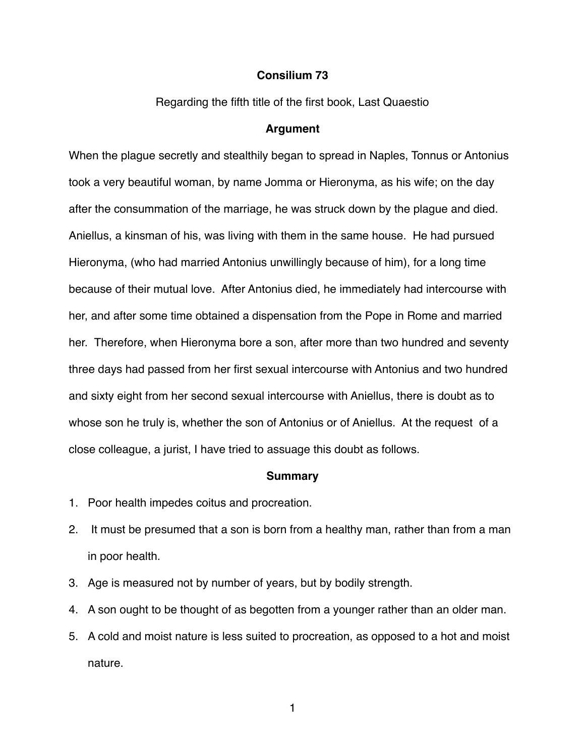## **Consilium 73**

Regarding the fifth title of the first book, Last Quaestio

## **Argument**

When the plague secretly and stealthily began to spread in Naples, Tonnus or Antonius took a very beautiful woman, by name Jomma or Hieronyma, as his wife; on the day after the consummation of the marriage, he was struck down by the plague and died. Aniellus, a kinsman of his, was living with them in the same house. He had pursued Hieronyma, (who had married Antonius unwillingly because of him), for a long time because of their mutual love. After Antonius died, he immediately had intercourse with her, and after some time obtained a dispensation from the Pope in Rome and married her. Therefore, when Hieronyma bore a son, after more than two hundred and seventy three days had passed from her first sexual intercourse with Antonius and two hundred and sixty eight from her second sexual intercourse with Aniellus, there is doubt as to whose son he truly is, whether the son of Antonius or of Aniellus. At the request of a close colleague, a jurist, I have tried to assuage this doubt as follows.

## **Summary**

- 1. Poor health impedes coitus and procreation.
- 2. It must be presumed that a son is born from a healthy man, rather than from a man in poor health.
- 3. Age is measured not by number of years, but by bodily strength.
- 4. A son ought to be thought of as begotten from a younger rather than an older man.
- 5. A cold and moist nature is less suited to procreation, as opposed to a hot and moist nature.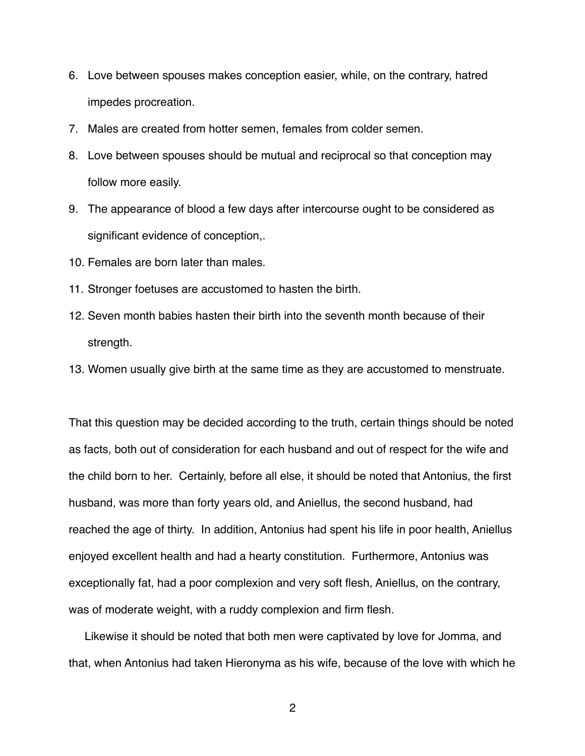- 6. Love between spouses makes conception easier, while, on the contrary, hatred impedes procreation.
- 7. Males are created from hotter semen, females from colder semen.
- 8. Love between spouses should be mutual and reciprocal so that conception may follow more easily.
- 9. The appearance of blood a few days after intercourse ought to be considered as significant evidence of conception,.
- 10. Females are born later than males.
- 11. Stronger foetuses are accustomed to hasten the birth.
- 12. Seven month babies hasten their birth into the seventh month because of their strength.
- 13. Women usually give birth at the same time as they are accustomed to menstruate.

That this question may be decided according to the truth, certain things should be noted as facts, both out of consideration for each husband and out of respect for the wife and the child born to her. Certainly, before all else, it should be noted that Antonius, the first husband, was more than forty years old, and Aniellus, the second husband, had reached the age of thirty. In addition, Antonius had spent his life in poor health, Aniellus enjoyed excellent health and had a hearty constitution. Furthermore, Antonius was exceptionally fat, had a poor complexion and very soft flesh, Aniellus, on the contrary, was of moderate weight, with a ruddy complexion and firm flesh.

 Likewise it should be noted that both men were captivated by love for Jomma, and that, when Antonius had taken Hieronyma as his wife, because of the love with which he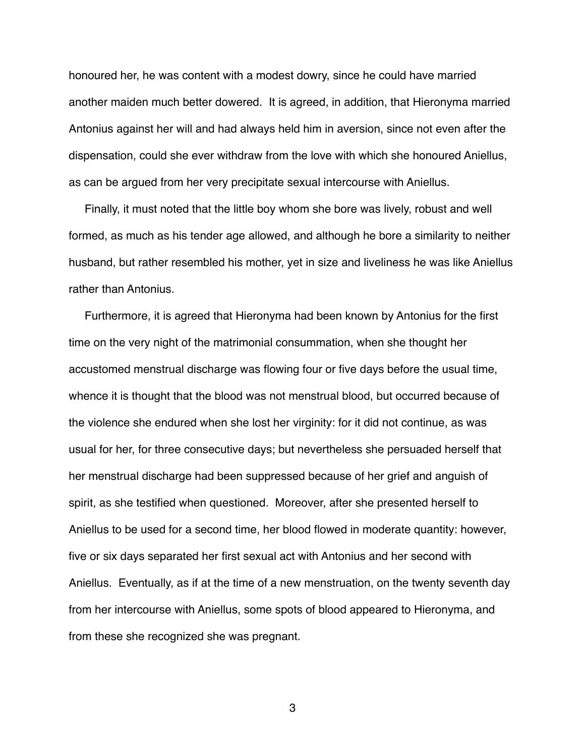honoured her, he was content with a modest dowry, since he could have married another maiden much better dowered. It is agreed, in addition, that Hieronyma married Antonius against her will and had always held him in aversion, since not even after the dispensation, could she ever withdraw from the love with which she honoured Aniellus, as can be argued from her very precipitate sexual intercourse with Aniellus.

 Finally, it must noted that the little boy whom she bore was lively, robust and well formed, as much as his tender age allowed, and although he bore a similarity to neither husband, but rather resembled his mother, yet in size and liveliness he was like Aniellus rather than Antonius.

 Furthermore, it is agreed that Hieronyma had been known by Antonius for the first time on the very night of the matrimonial consummation, when she thought her accustomed menstrual discharge was flowing four or five days before the usual time, whence it is thought that the blood was not menstrual blood, but occurred because of the violence she endured when she lost her virginity: for it did not continue, as was usual for her, for three consecutive days; but nevertheless she persuaded herself that her menstrual discharge had been suppressed because of her grief and anguish of spirit, as she testified when questioned. Moreover, after she presented herself to Aniellus to be used for a second time, her blood flowed in moderate quantity: however, five or six days separated her first sexual act with Antonius and her second with Aniellus. Eventually, as if at the time of a new menstruation, on the twenty seventh day from her intercourse with Aniellus, some spots of blood appeared to Hieronyma, and from these she recognized she was pregnant.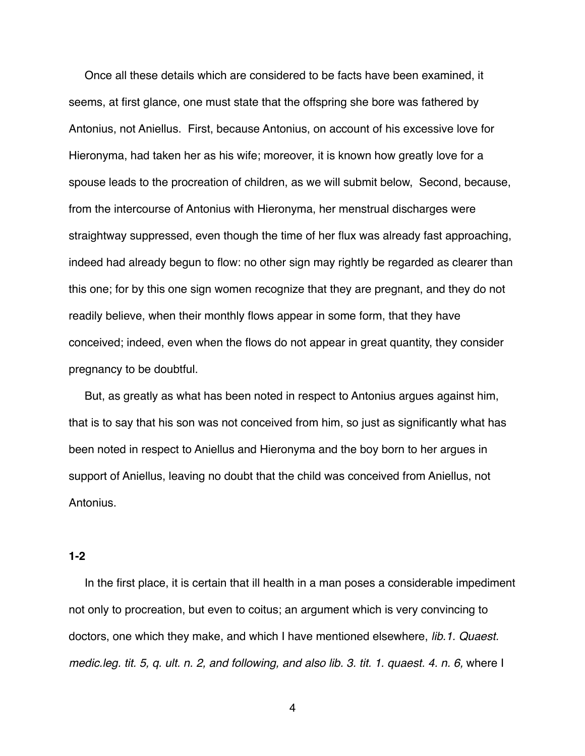Once all these details which are considered to be facts have been examined, it seems, at first glance, one must state that the offspring she bore was fathered by Antonius, not Aniellus. First, because Antonius, on account of his excessive love for Hieronyma, had taken her as his wife; moreover, it is known how greatly love for a spouse leads to the procreation of children, as we will submit below, Second, because, from the intercourse of Antonius with Hieronyma, her menstrual discharges were straightway suppressed, even though the time of her flux was already fast approaching, indeed had already begun to flow: no other sign may rightly be regarded as clearer than this one; for by this one sign women recognize that they are pregnant, and they do not readily believe, when their monthly flows appear in some form, that they have conceived; indeed, even when the flows do not appear in great quantity, they consider pregnancy to be doubtful.

 But, as greatly as what has been noted in respect to Antonius argues against him, that is to say that his son was not conceived from him, so just as significantly what has been noted in respect to Aniellus and Hieronyma and the boy born to her argues in support of Aniellus, leaving no doubt that the child was conceived from Aniellus, not Antonius.

## **1-2**

 In the first place, it is certain that ill health in a man poses a considerable impediment not only to procreation, but even to coitus; an argument which is very convincing to doctors, one which they make, and which I have mentioned elsewhere, *lib.1. Quaest. medic.leg. tit. 5, q. ult. n. 2, and following, and also lib. 3. tit. 1. quaest. 4. n. 6,* where I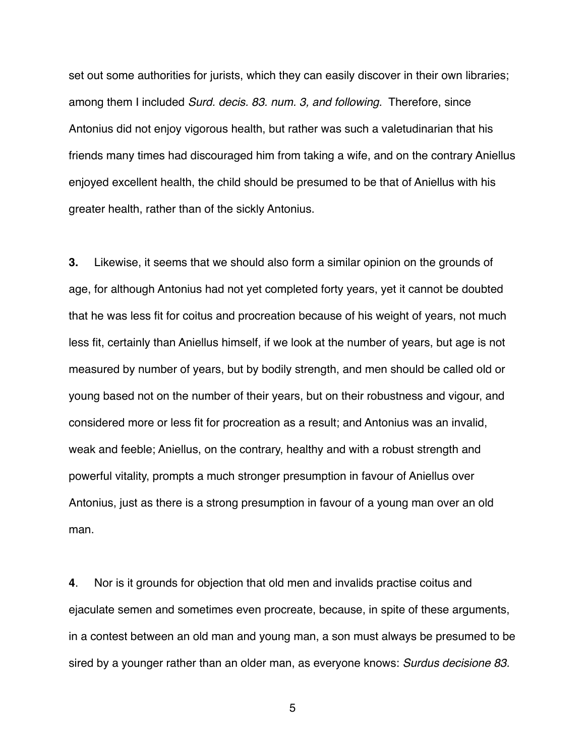set out some authorities for jurists, which they can easily discover in their own libraries; among them I included *Surd. decis. 83. num. 3, and following*. Therefore, since Antonius did not enjoy vigorous health, but rather was such a valetudinarian that his friends many times had discouraged him from taking a wife, and on the contrary Aniellus enjoyed excellent health, the child should be presumed to be that of Aniellus with his greater health, rather than of the sickly Antonius.

**3.** Likewise, it seems that we should also form a similar opinion on the grounds of age, for although Antonius had not yet completed forty years, yet it cannot be doubted that he was less fit for coitus and procreation because of his weight of years, not much less fit, certainly than Aniellus himself, if we look at the number of years, but age is not measured by number of years, but by bodily strength, and men should be called old or young based not on the number of their years, but on their robustness and vigour, and considered more or less fit for procreation as a result; and Antonius was an invalid, weak and feeble; Aniellus, on the contrary, healthy and with a robust strength and powerful vitality, prompts a much stronger presumption in favour of Aniellus over Antonius, just as there is a strong presumption in favour of a young man over an old man.

**4**. Nor is it grounds for objection that old men and invalids practise coitus and ejaculate semen and sometimes even procreate, because, in spite of these arguments, in a contest between an old man and young man, a son must always be presumed to be sired by a younger rather than an older man, as everyone knows: *Surdus decisione 83.*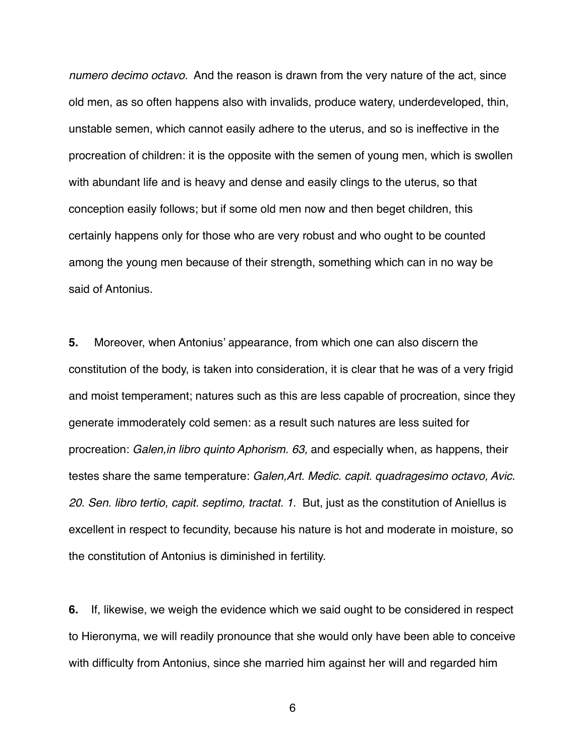*numero decimo octavo.* And the reason is drawn from the very nature of the act, since old men, as so often happens also with invalids, produce watery, underdeveloped, thin, unstable semen, which cannot easily adhere to the uterus, and so is ineffective in the procreation of children: it is the opposite with the semen of young men, which is swollen with abundant life and is heavy and dense and easily clings to the uterus, so that conception easily follows; but if some old men now and then beget children, this certainly happens only for those who are very robust and who ought to be counted among the young men because of their strength, something which can in no way be said of Antonius.

**5.** Moreover, when Antonius' appearance, from which one can also discern the constitution of the body, is taken into consideration, it is clear that he was of a very frigid and moist temperament; natures such as this are less capable of procreation, since they generate immoderately cold semen: as a result such natures are less suited for procreation: *Galen,in libro quinto Aphorism. 63,* and especially when, as happens, their testes share the same temperature: *Galen,Art. Medic. capit. quadragesimo octavo, Avic. 20. Sen. libro tertio, capit. septimo, tractat. 1*. But, just as the constitution of Aniellus is excellent in respect to fecundity, because his nature is hot and moderate in moisture, so the constitution of Antonius is diminished in fertility.

**6.** If, likewise, we weigh the evidence which we said ought to be considered in respect to Hieronyma, we will readily pronounce that she would only have been able to conceive with difficulty from Antonius, since she married him against her will and regarded him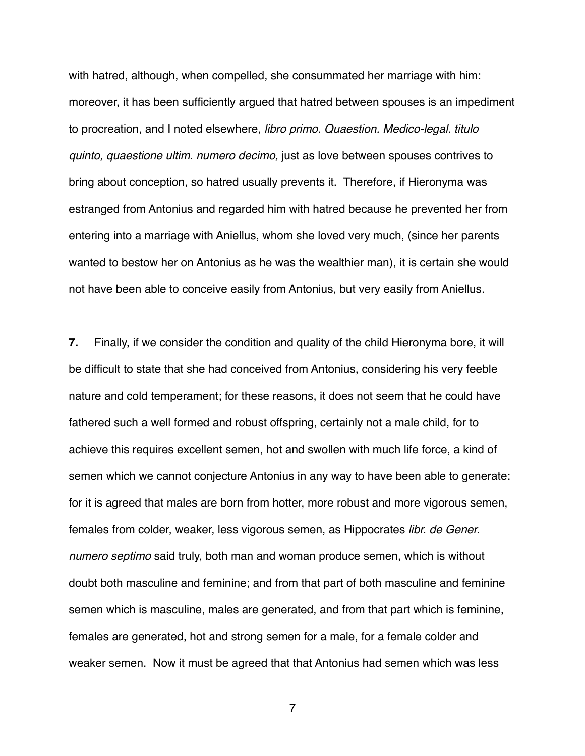with hatred, although, when compelled, she consummated her marriage with him: moreover, it has been sufficiently argued that hatred between spouses is an impediment to procreation, and I noted elsewhere, *libro primo. Quaestion. Medico-legal. titulo quinto, quaestione ultim. numero decimo,* just as love between spouses contrives to bring about conception, so hatred usually prevents it. Therefore, if Hieronyma was estranged from Antonius and regarded him with hatred because he prevented her from entering into a marriage with Aniellus, whom she loved very much, (since her parents wanted to bestow her on Antonius as he was the wealthier man), it is certain she would not have been able to conceive easily from Antonius, but very easily from Aniellus.

**7.** Finally, if we consider the condition and quality of the child Hieronyma bore, it will be difficult to state that she had conceived from Antonius, considering his very feeble nature and cold temperament; for these reasons, it does not seem that he could have fathered such a well formed and robust offspring, certainly not a male child, for to achieve this requires excellent semen, hot and swollen with much life force, a kind of semen which we cannot conjecture Antonius in any way to have been able to generate: for it is agreed that males are born from hotter, more robust and more vigorous semen, females from colder, weaker, less vigorous semen, as Hippocrates *libr. de Gener. numero septimo* said truly, both man and woman produce semen, which is without doubt both masculine and feminine; and from that part of both masculine and feminine semen which is masculine, males are generated, and from that part which is feminine, females are generated, hot and strong semen for a male, for a female colder and weaker semen. Now it must be agreed that that Antonius had semen which was less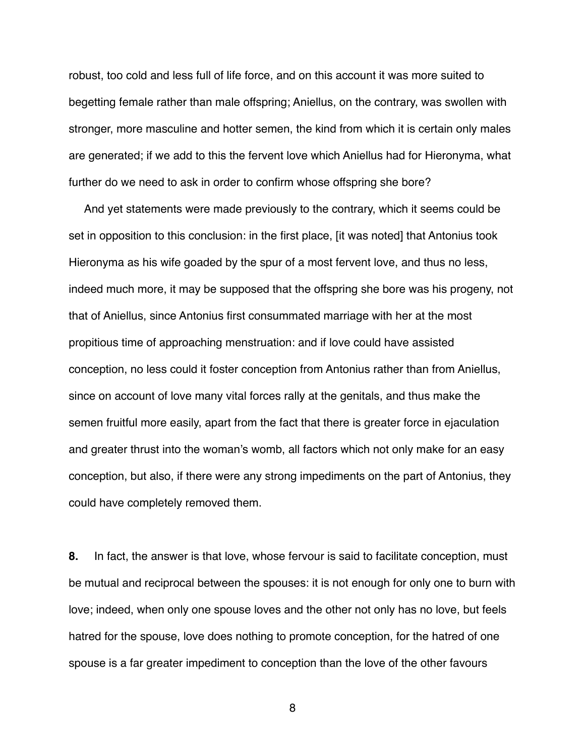robust, too cold and less full of life force, and on this account it was more suited to begetting female rather than male offspring; Aniellus, on the contrary, was swollen with stronger, more masculine and hotter semen, the kind from which it is certain only males are generated; if we add to this the fervent love which Aniellus had for Hieronyma, what further do we need to ask in order to confirm whose offspring she bore?

 And yet statements were made previously to the contrary, which it seems could be set in opposition to this conclusion: in the first place, [it was noted] that Antonius took Hieronyma as his wife goaded by the spur of a most fervent love, and thus no less, indeed much more, it may be supposed that the offspring she bore was his progeny, not that of Aniellus, since Antonius first consummated marriage with her at the most propitious time of approaching menstruation: and if love could have assisted conception, no less could it foster conception from Antonius rather than from Aniellus, since on account of love many vital forces rally at the genitals, and thus make the semen fruitful more easily, apart from the fact that there is greater force in ejaculation and greater thrust into the woman's womb, all factors which not only make for an easy conception, but also, if there were any strong impediments on the part of Antonius, they could have completely removed them.

**8.** In fact, the answer is that love, whose fervour is said to facilitate conception, must be mutual and reciprocal between the spouses: it is not enough for only one to burn with love; indeed, when only one spouse loves and the other not only has no love, but feels hatred for the spouse, love does nothing to promote conception, for the hatred of one spouse is a far greater impediment to conception than the love of the other favours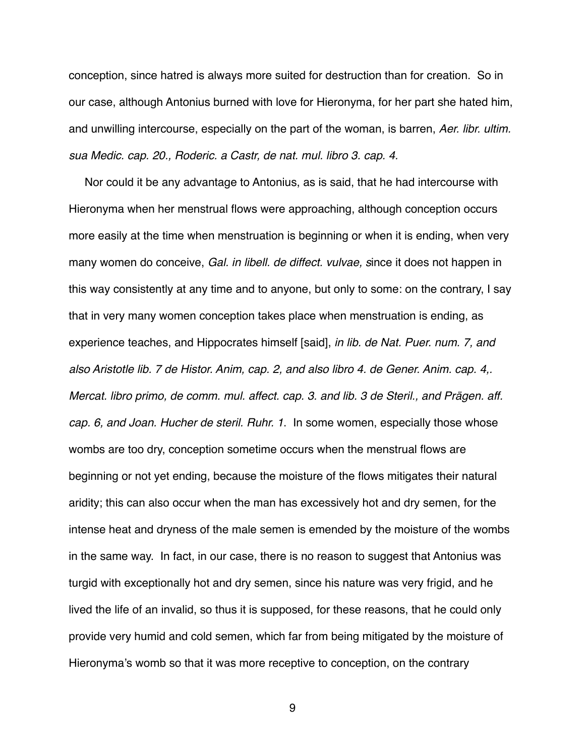conception, since hatred is always more suited for destruction than for creation. So in our case, although Antonius burned with love for Hieronyma, for her part she hated him, and unwilling intercourse, especially on the part of the woman, is barren, *Aer. libr. ultim. sua Medic. cap. 20., Roderic. a Castr, de nat. mul. libro 3. cap. 4.*

 Nor could it be any advantage to Antonius, as is said, that he had intercourse with Hieronyma when her menstrual flows were approaching, although conception occurs more easily at the time when menstruation is beginning or when it is ending, when very many women do conceive, *Gal. in libell. de diffect. vulvae, s*ince it does not happen in this way consistently at any time and to anyone, but only to some: on the contrary, I say that in very many women conception takes place when menstruation is ending, as experience teaches, and Hippocrates himself [said], *in lib. de Nat. Puer. num. 7, and also Aristotle lib. 7 de Histor. Anim, cap. 2, and also libro 4. de Gener. Anim. cap. 4,. Mercat. libro primo, de comm. mul. affect. cap. 3. and lib. 3 de Steril., and Prägen. aff. cap. 6, and Joan. Hucher de steril. Ruhr. 1*. In some women, especially those whose wombs are too dry, conception sometime occurs when the menstrual flows are beginning or not yet ending, because the moisture of the flows mitigates their natural aridity; this can also occur when the man has excessively hot and dry semen, for the intense heat and dryness of the male semen is emended by the moisture of the wombs in the same way. In fact, in our case, there is no reason to suggest that Antonius was turgid with exceptionally hot and dry semen, since his nature was very frigid, and he lived the life of an invalid, so thus it is supposed, for these reasons, that he could only provide very humid and cold semen, which far from being mitigated by the moisture of Hieronyma's womb so that it was more receptive to conception, on the contrary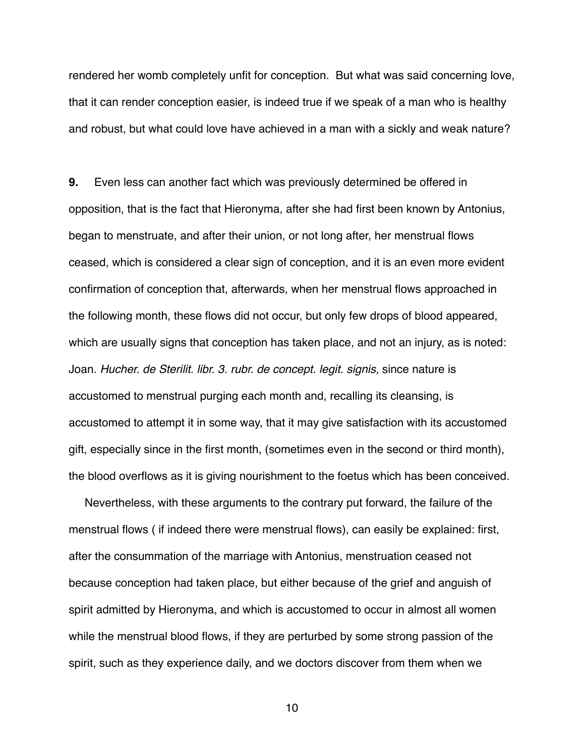rendered her womb completely unfit for conception. But what was said concerning love, that it can render conception easier, is indeed true if we speak of a man who is healthy and robust, but what could love have achieved in a man with a sickly and weak nature?

**9.** Even less can another fact which was previously determined be offered in opposition, that is the fact that Hieronyma, after she had first been known by Antonius, began to menstruate, and after their union, or not long after, her menstrual flows ceased, which is considered a clear sign of conception, and it is an even more evident confirmation of conception that, afterwards, when her menstrual flows approached in the following month, these flows did not occur, but only few drops of blood appeared, which are usually signs that conception has taken place, and not an injury, as is noted: Joan. *Hucher. de Sterilit. libr. 3. rubr. de concept. legit. signis,* since nature is accustomed to menstrual purging each month and, recalling its cleansing, is accustomed to attempt it in some way, that it may give satisfaction with its accustomed gift, especially since in the first month, (sometimes even in the second or third month), the blood overflows as it is giving nourishment to the foetus which has been conceived.

 Nevertheless, with these arguments to the contrary put forward, the failure of the menstrual flows ( if indeed there were menstrual flows), can easily be explained: first, after the consummation of the marriage with Antonius, menstruation ceased not because conception had taken place, but either because of the grief and anguish of spirit admitted by Hieronyma, and which is accustomed to occur in almost all women while the menstrual blood flows, if they are perturbed by some strong passion of the spirit, such as they experience daily, and we doctors discover from them when we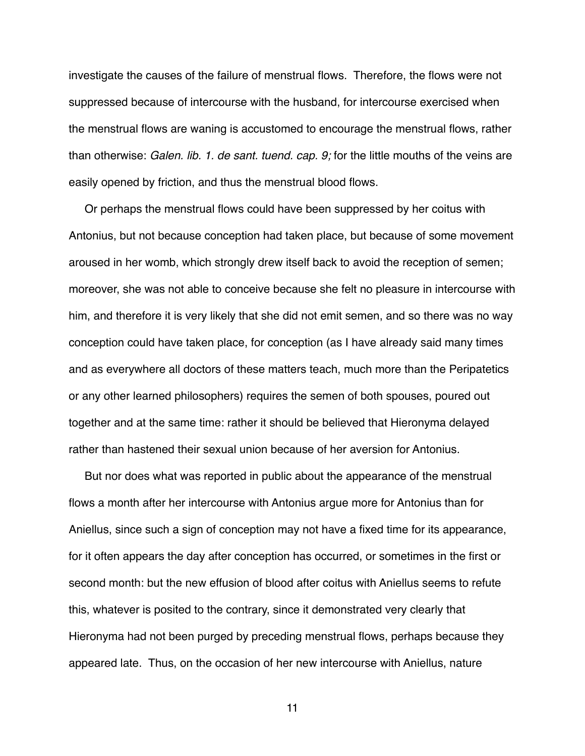investigate the causes of the failure of menstrual flows. Therefore, the flows were not suppressed because of intercourse with the husband, for intercourse exercised when the menstrual flows are waning is accustomed to encourage the menstrual flows, rather than otherwise: *Galen. lib. 1. de sant. tuend. cap. 9;* for the little mouths of the veins are easily opened by friction, and thus the menstrual blood flows.

 Or perhaps the menstrual flows could have been suppressed by her coitus with Antonius, but not because conception had taken place, but because of some movement aroused in her womb, which strongly drew itself back to avoid the reception of semen; moreover, she was not able to conceive because she felt no pleasure in intercourse with him, and therefore it is very likely that she did not emit semen, and so there was no way conception could have taken place, for conception (as I have already said many times and as everywhere all doctors of these matters teach, much more than the Peripatetics or any other learned philosophers) requires the semen of both spouses, poured out together and at the same time: rather it should be believed that Hieronyma delayed rather than hastened their sexual union because of her aversion for Antonius.

 But nor does what was reported in public about the appearance of the menstrual flows a month after her intercourse with Antonius argue more for Antonius than for Aniellus, since such a sign of conception may not have a fixed time for its appearance, for it often appears the day after conception has occurred, or sometimes in the first or second month: but the new effusion of blood after coitus with Aniellus seems to refute this, whatever is posited to the contrary, since it demonstrated very clearly that Hieronyma had not been purged by preceding menstrual flows, perhaps because they appeared late. Thus, on the occasion of her new intercourse with Aniellus, nature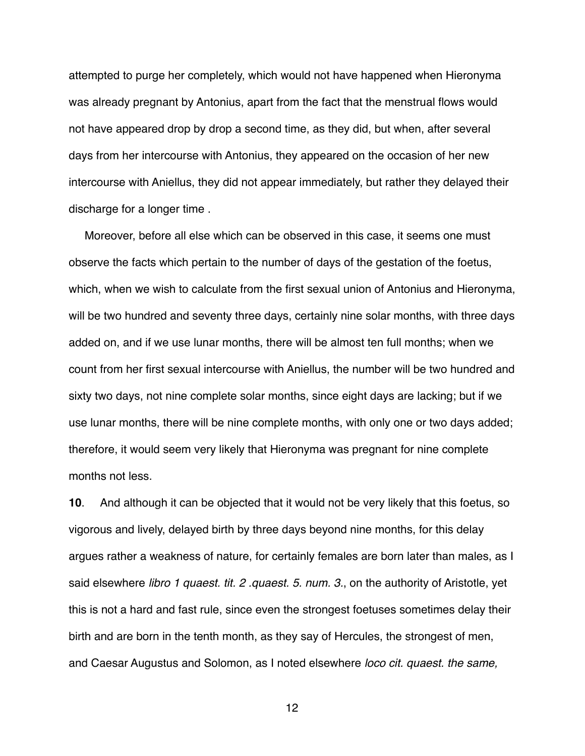attempted to purge her completely, which would not have happened when Hieronyma was already pregnant by Antonius, apart from the fact that the menstrual flows would not have appeared drop by drop a second time, as they did, but when, after several days from her intercourse with Antonius, they appeared on the occasion of her new intercourse with Aniellus, they did not appear immediately, but rather they delayed their discharge for a longer time .

 Moreover, before all else which can be observed in this case, it seems one must observe the facts which pertain to the number of days of the gestation of the foetus, which, when we wish to calculate from the first sexual union of Antonius and Hieronyma, will be two hundred and seventy three days, certainly nine solar months, with three days added on, and if we use lunar months, there will be almost ten full months; when we count from her first sexual intercourse with Aniellus, the number will be two hundred and sixty two days, not nine complete solar months, since eight days are lacking; but if we use lunar months, there will be nine complete months, with only one or two days added; therefore, it would seem very likely that Hieronyma was pregnant for nine complete months not less.

**10**. And although it can be objected that it would not be very likely that this foetus, so vigorous and lively, delayed birth by three days beyond nine months, for this delay argues rather a weakness of nature, for certainly females are born later than males, as I said elsewhere *libro 1 quaest. tit. 2 .quaest. 5. num. 3.*, on the authority of Aristotle, yet this is not a hard and fast rule, since even the strongest foetuses sometimes delay their birth and are born in the tenth month, as they say of Hercules, the strongest of men, and Caesar Augustus and Solomon, as I noted elsewhere *loco cit. quaest. the same,*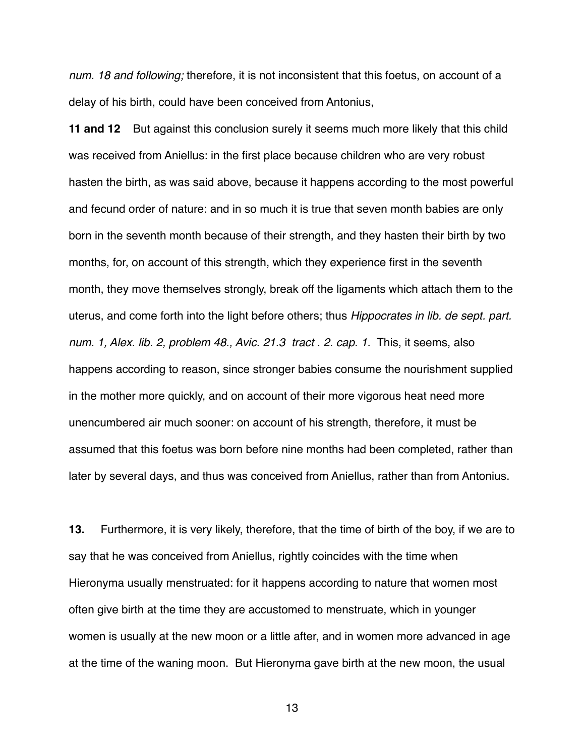*num. 18 and following;* therefore, it is not inconsistent that this foetus, on account of a delay of his birth, could have been conceived from Antonius,

**11 and 12** But against this conclusion surely it seems much more likely that this child was received from Aniellus: in the first place because children who are very robust hasten the birth, as was said above, because it happens according to the most powerful and fecund order of nature: and in so much it is true that seven month babies are only born in the seventh month because of their strength, and they hasten their birth by two months, for, on account of this strength, which they experience first in the seventh month, they move themselves strongly, break off the ligaments which attach them to the uterus, and come forth into the light before others; thus *Hippocrates in lib. de sept. part. num. 1, Alex. lib. 2, problem 48., Avic. 21.3 tract . 2. cap. 1.* This, it seems, also happens according to reason, since stronger babies consume the nourishment supplied in the mother more quickly, and on account of their more vigorous heat need more unencumbered air much sooner: on account of his strength, therefore, it must be assumed that this foetus was born before nine months had been completed, rather than later by several days, and thus was conceived from Aniellus, rather than from Antonius.

**13.** Furthermore, it is very likely, therefore, that the time of birth of the boy, if we are to say that he was conceived from Aniellus, rightly coincides with the time when Hieronyma usually menstruated: for it happens according to nature that women most often give birth at the time they are accustomed to menstruate, which in younger women is usually at the new moon or a little after, and in women more advanced in age at the time of the waning moon. But Hieronyma gave birth at the new moon, the usual